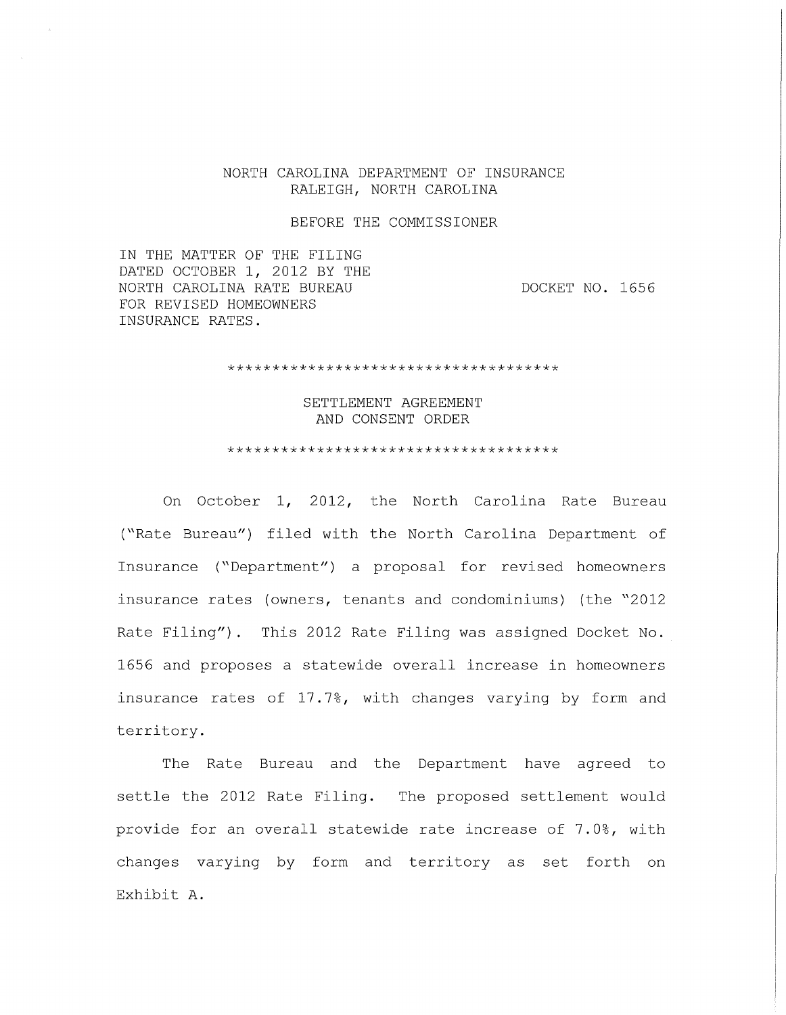#### NORTH CAROLINA DEPARTMENT OF INSURANCE RALEIGH, NORTH CAROLINA

#### BEFORE THE COMMISSIONER

IN THE MATTER OF THE FILING DATED OCTOBER 1, 2012 BY THE NORTH CAROLINA RATE BUREAU FOR REVISED HOMEOWNERS INSURANCE RATES.

DOCKET NO. 1656

\*\*\*\*\*\*\*\*\*\*\*\*\*\*\*\*\*\*\*\*\*\*\*\*\*\*\*\*\*\*\*\*\*\*\*\*\*

SETTLEMENT AGREEMENT AND CONSENT ORDER

\*\*\*\*\*\*\*\*\*\*\*\*\*\*\*\*\*\*\*\*\*\*\*\*\*\*\*\*\*\*\*\*\*\*\*\*\*

On October 1, 2012, the North Carolina Rate Bureau ("Rate Bureau") filed with the North Carolina Department of Insurance ("Department") a proposal for revised homeowners insurance rates (owners, tenants and condominiums) (the "2012 Rate Filing"). This 2012 Rate Filing was assigned Docket No. 1656 and proposes a statewide overall increase in homeowners insurance rates of 17. 7%, with changes varying by form and territory.

The Rate Bureau and the Department have agreed to settle the 2012 Rate Filing. The proposed settlement would provide for an overall statewide rate increase of 7.0%, with changes varying by form and territory as set forth on Exhibit A.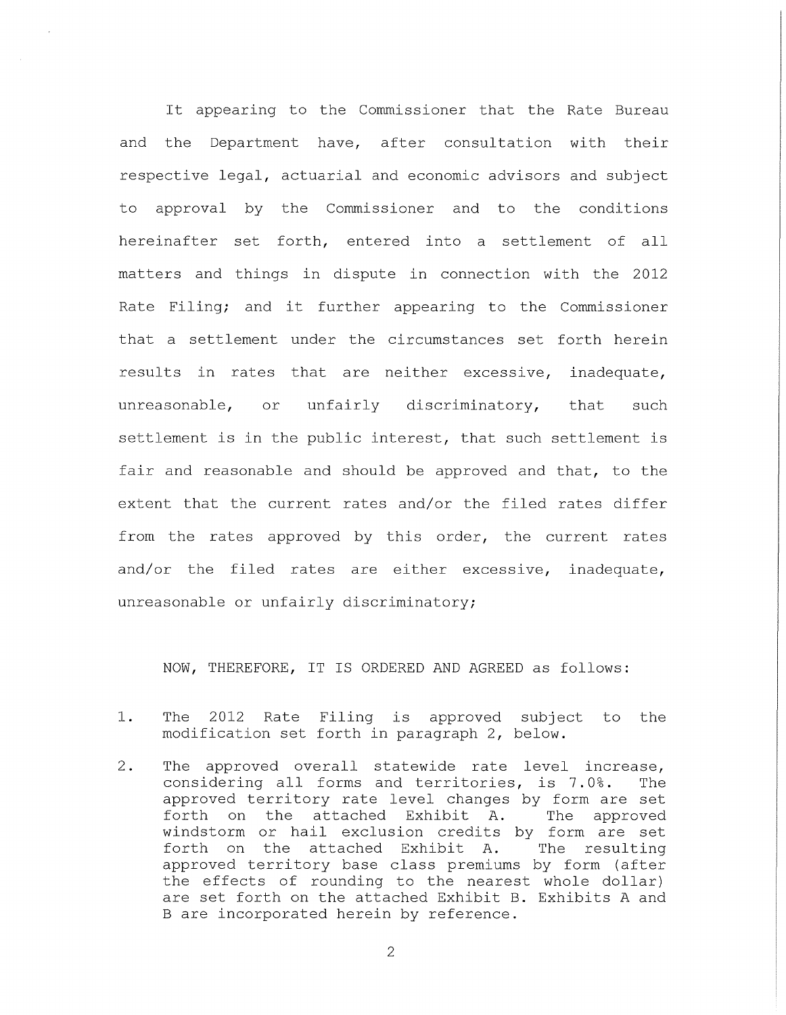It appearing to the Commissioner that the Rate Bureau and the Department have, after consultation with their respective legal, actuarial and economic advisors and subject to approval by the Commissioner and to the conditions hereinafter set forth, entered into a settlement of all matters and things in dispute in connection with the 2012 Rate Filing; and it further appearing to the Commissioner that a settlement under the circumstances set forth herein results in rates that are neither excessive, inadequate, unreasonable, or unfairly discriminatory, that such settlement is in the public interest, that such settlement is fair and reasonable and should be approved and that, to the extent that the current rates and/or the filed rates differ from the rates approved by this order, the current rates and/or the filed rates are either excessive, inadequate, unreasonable or unfairly discriminatory;

NOW, THEREFORE, IT IS ORDERED AND AGREED as follows:

- 1. The 2012 Rate Filing is approved subject to the modification set forth in paragraph 2, below.
- 2. The approved overall statewide rate level increase, considering all forms and territories, is 7. 0%. The approved territory rate level changes by form are set forth on the attached Exhibit A. The approved windstorm or hail exclusion credits by form are set forth on the attached Exhibit A. The resulting approved territory base class premiums by form (after the effects of rounding to the nearest whole dollar) are set forth on the attached Exhibit B. Exhibits A and B are incorporated herein by reference.

2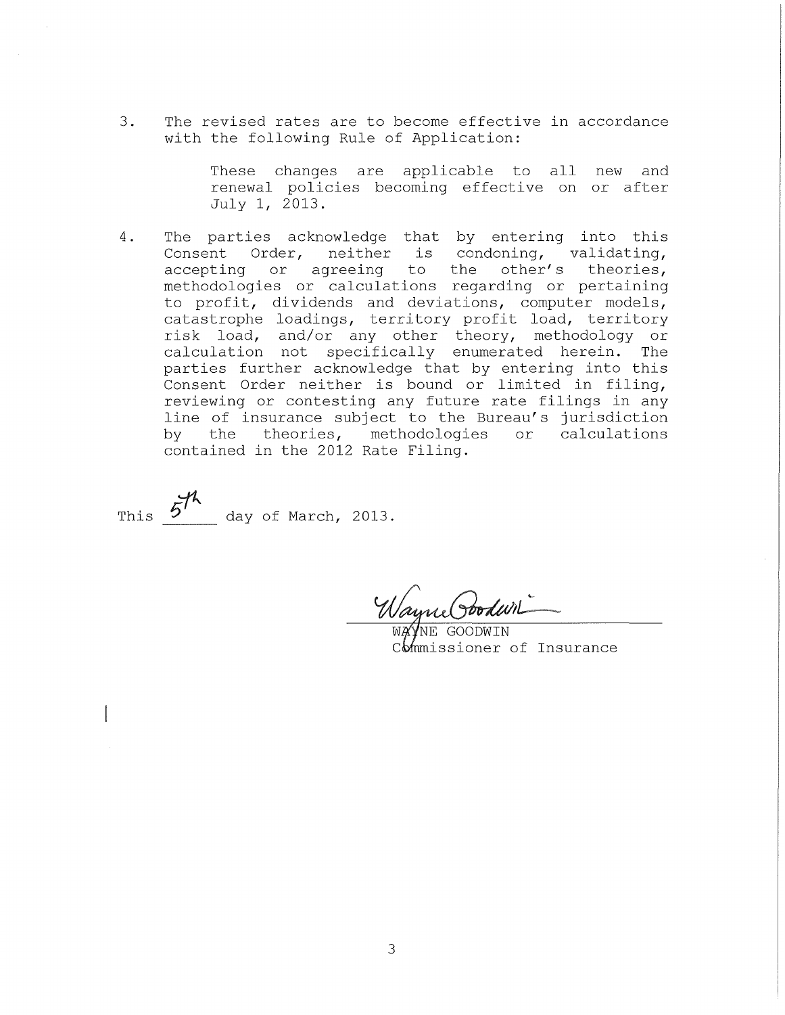3. The revised rates are to become effective in accordance with the following Rule of Application:

> These changes are applicable to all new and renewal policies becoming effective on or after July 1, 2013.

4. The parties acknowledge that by entering into this Consent Order, neither is condoning, validating, accepting or agreeing to the other's theories, methodologies or calculations regarding or pertaining to profit, dividends and deviations, computer models, catastrophe loadings, territory profit load, territory risk load, and/or any other theory, methodology or calculation not specifically enumerated herein. The parties further acknowledge that by entering into this Consent Order neither is bound or limited in filing, reviewing or contesting any future rate filings in any line of insurance subject to the Bureau's jurisdiction<br>by the theories, methodologies or calculations the theories, methodologies contained in the 2012 Rate Filing.

This  $5^{\frac{1}{2}}$  day of March, 2013.

Wayne Poodwin

 $\overline{\mathtt{W} \mathtt{A}}$ GOODWIN commissioner of Insurance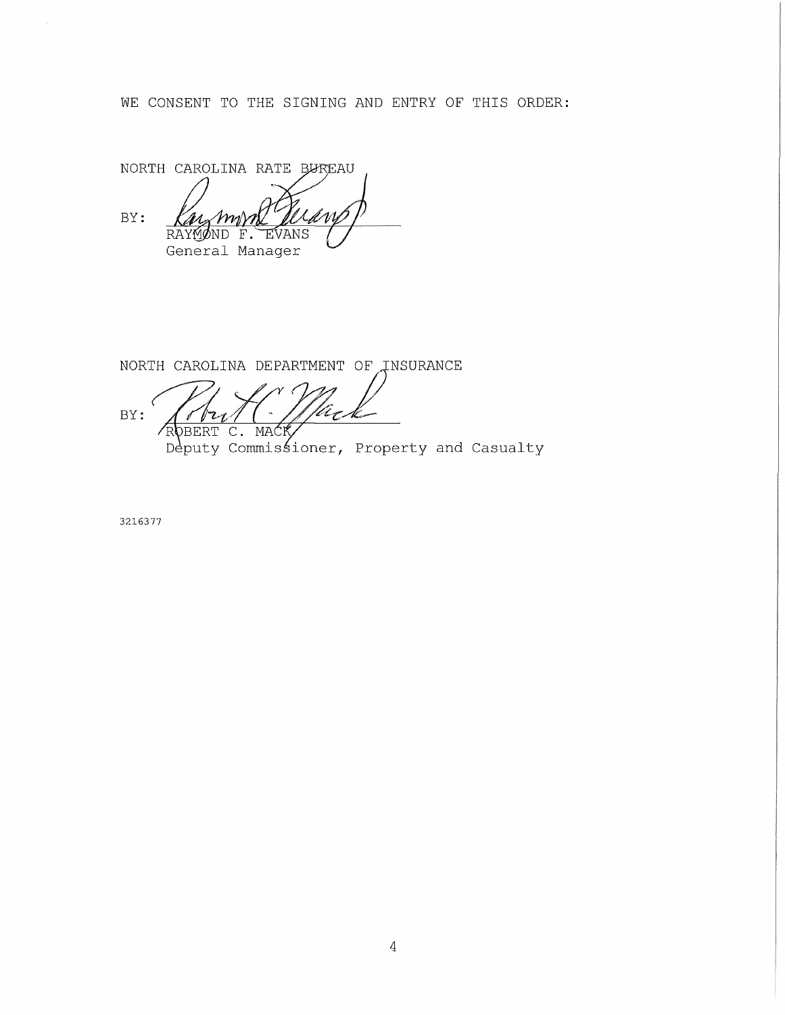WE CONSENT TO THE SIGNING AND ENTRY OF THIS ORDER:

NORTH CAROLINA RATE BUREAU BY: M RAYMOND F. EVANS General Manager

NORTH CAROLINA DEPARTMENT OF INSURANCE BY: ROBERT  $C_{\bullet}$ MAĆK Deputy Commissioner, Property and Casualty

3216377

 $\alpha$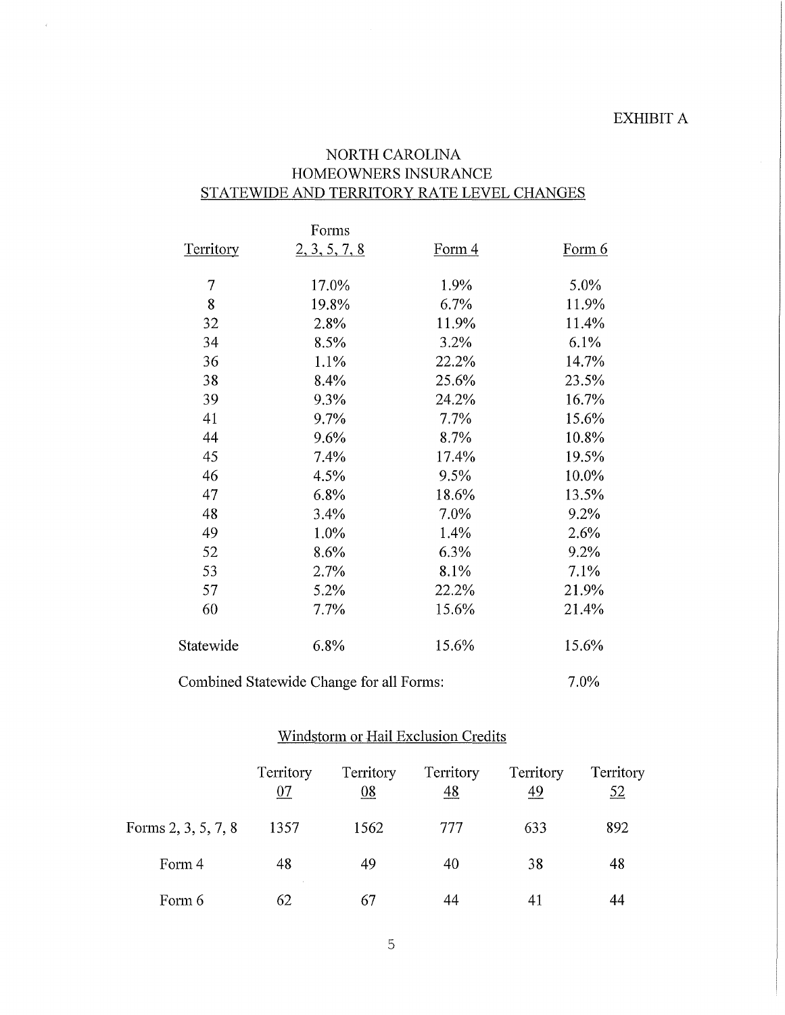## NORTH CAROLINA HOMEOWNERS INSURANCE STATEWIDE AND TERRITORY RATE LEVEL CHANGES

 $\bar{\mathcal{L}}$ 

|                  | Forms                                    |                   |               |
|------------------|------------------------------------------|-------------------|---------------|
| <b>Territory</b> | 2, 3, 5, 7, 8                            | Form <sub>4</sub> | <u>Form 6</u> |
| $\overline{7}$   | 17.0%                                    | 1.9%              | 5.0%          |
| 8                | 19.8%                                    | 6.7%              | 11.9%         |
| 32               | 2.8%                                     | 11.9%             | 11.4%         |
| 34               | 8.5%                                     | 3.2%              | 6.1%          |
| 36               | 1.1%                                     | 22.2%             | 14.7%         |
| 38               | 8.4%                                     | 25.6%             | 23.5%         |
| 39               | 9.3%                                     | 24.2%             | 16.7%         |
| 41               | 9.7%                                     | 7.7%              | 15.6%         |
| 44               | 9.6%                                     | 8.7%              | 10.8%         |
| 45               | 7.4%                                     | 17.4%             | 19.5%         |
| 46               | 4.5%                                     | 9.5%              | 10.0%         |
| 47               | 6.8%                                     | 18.6%             | 13.5%         |
| 48               | 3.4%                                     | 7.0%              | 9.2%          |
| 49               | 1.0%                                     | 1.4%              | 2.6%          |
| 52               | 8.6%                                     | 6.3%              | 9.2%          |
| 53               | 2.7%                                     | 8.1%              | 7.1%          |
| 57               | 5.2%                                     | 22.2%             | 21.9%         |
| 60               | 7.7%                                     | 15.6%             | 21.4%         |
| Statewide        | 6.8%                                     | 15.6%             | 15.6%         |
|                  | Combined Statewide Change for all Forms: |                   | 7.0%          |

# Windstorm or Hail Exclusion Credits

|                     | Territory<br>07 | Territory<br><u>08</u> | Territory<br>48 | Territory<br>49 | Territory<br>52 |
|---------------------|-----------------|------------------------|-----------------|-----------------|-----------------|
| Forms 2, 3, 5, 7, 8 | 1357            | 1562                   | 777             | 633             | 892             |
| Form 4              | 48              | 49                     | 40              | 38              | 48              |
| Form 6              | 62              | 67                     | 44              |                 |                 |